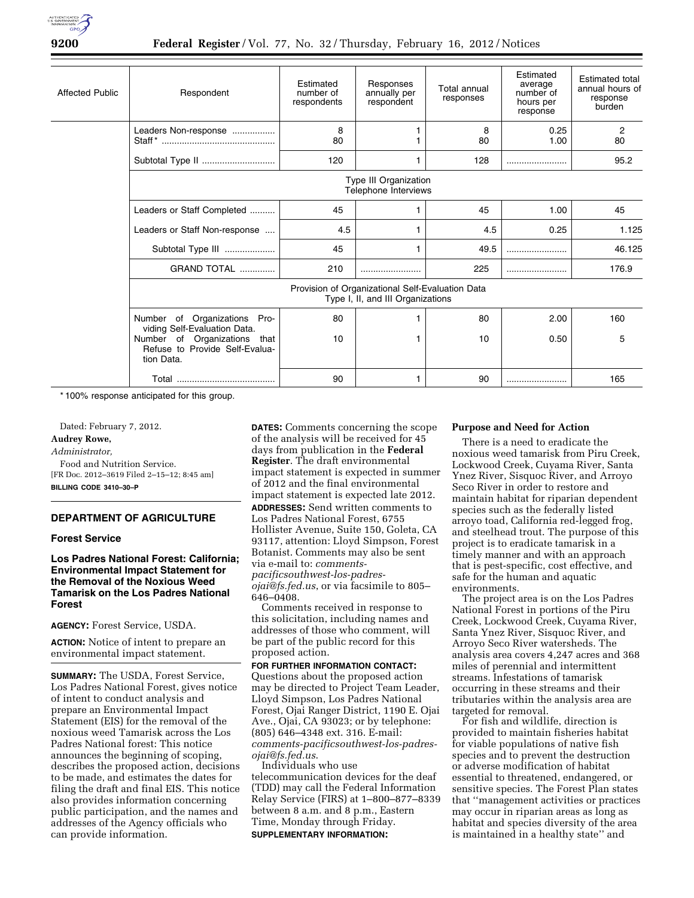

| <b>Affected Public</b> | Respondent                                                                            | Estimated<br>number of<br>respondents | Responses<br>annually per<br>respondent | Total annual<br>responses | Estimated<br>average<br>number of<br>hours per<br>response | <b>Estimated total</b><br>annual hours of<br>response<br>burden |
|------------------------|---------------------------------------------------------------------------------------|---------------------------------------|-----------------------------------------|---------------------------|------------------------------------------------------------|-----------------------------------------------------------------|
|                        | Leaders Non-response                                                                  | 8<br>80                               |                                         | 8<br>80                   | 0.25<br>1.00                                               | 2<br>80                                                         |
|                        | Subtotal Type II                                                                      | 120                                   | 1                                       | 128                       |                                                            | 95.2                                                            |
|                        | Type III Organization<br>Telephone Interviews                                         |                                       |                                         |                           |                                                            |                                                                 |
|                        | Leaders or Staff Completed                                                            | 45                                    |                                         | 45                        | 1.00                                                       | 45                                                              |
|                        | Leaders or Staff Non-response                                                         | 4.5                                   | 1                                       | 4.5                       | 0.25                                                       | 1.125                                                           |
|                        | Subtotal Type III                                                                     | 45                                    |                                         | 49.5                      |                                                            | 46.125                                                          |
|                        | GRAND TOTAL                                                                           | 210                                   |                                         | 225                       |                                                            | 176.9                                                           |
|                        | Provision of Organizational Self-Evaluation Data<br>Type I, II, and III Organizations |                                       |                                         |                           |                                                            |                                                                 |
|                        | Number of Organizations Pro-<br>viding Self-Evaluation Data.                          | 80                                    |                                         | 80                        | 2.00                                                       | 160                                                             |
|                        | Number of Organizations that<br>Refuse to Provide Self-Evalua-<br>tion Data.          | 10                                    | 1                                       | 10                        | 0.50                                                       | 5                                                               |
|                        |                                                                                       | 90                                    | 1                                       | 90                        |                                                            | 165                                                             |

\* 100% response anticipated for this group.

Dated: February 7, 2012. **Audrey Rowe,**  *Administrator,*  Food and Nutrition Service. [FR Doc. 2012–3619 Filed 2–15–12; 8:45 am] **BILLING CODE 3410–30–P** 

# **DEPARTMENT OF AGRICULTURE**

## **Forest Service**

## **Los Padres National Forest: California; Environmental Impact Statement for the Removal of the Noxious Weed Tamarisk on the Los Padres National Forest**

**AGENCY:** Forest Service, USDA.

**ACTION:** Notice of intent to prepare an environmental impact statement.

**SUMMARY:** The USDA, Forest Service, Los Padres National Forest, gives notice of intent to conduct analysis and prepare an Environmental Impact Statement (EIS) for the removal of the noxious weed Tamarisk across the Los Padres National forest: This notice announces the beginning of scoping, describes the proposed action, decisions to be made, and estimates the dates for filing the draft and final EIS. This notice also provides information concerning public participation, and the names and addresses of the Agency officials who can provide information.

**DATES:** Comments concerning the scope of the analysis will be received for 45 days from publication in the **Federal Register**. The draft environmental impact statement is expected in summer of 2012 and the final environmental impact statement is expected late 2012. **ADDRESSES:** Send written comments to Los Padres National Forest, 6755 Hollister Avenue, Suite 150, Goleta, CA 93117, attention: Lloyd Simpson, Forest Botanist. Comments may also be sent via e-mail to: *[comments](mailto:comments-pacificsouthwest-los-padres-ojai@fs.fed.us)[pacificsouthwest-los-padres](mailto:comments-pacificsouthwest-los-padres-ojai@fs.fed.us)[ojai@fs.fed.us](mailto:comments-pacificsouthwest-los-padres-ojai@fs.fed.us)*, or via facsimile to 805– 646–0408.

Comments received in response to this solicitation, including names and addresses of those who comment, will be part of the public record for this proposed action.

**FOR FURTHER INFORMATION CONTACT:**  Questions about the proposed action may be directed to Project Team Leader, Lloyd Simpson, Los Padres National Forest, Ojai Ranger District, 1190 E. Ojai Ave., Ojai, CA 93023; or by telephone: (805) 646–4348 ext. 316. E-mail: *[comments-pacificsouthwest-los-padres](mailto:comments-pacificsouthwest-los-padres-ojai@fs.fed.us)[ojai@fs.fed.us](mailto:comments-pacificsouthwest-los-padres-ojai@fs.fed.us)*.

Individuals who use telecommunication devices for the deaf (TDD) may call the Federal Information Relay Service (FIRS) at 1–800–877–8339 between 8 a.m. and 8 p.m., Eastern Time, Monday through Friday. **SUPPLEMENTARY INFORMATION:** 

## **Purpose and Need for Action**

There is a need to eradicate the noxious weed tamarisk from Piru Creek, Lockwood Creek, Cuyama River, Santa Ynez River, Sisquoc River, and Arroyo Seco River in order to restore and maintain habitat for riparian dependent species such as the federally listed arroyo toad, California red-legged frog, and steelhead trout. The purpose of this project is to eradicate tamarisk in a timely manner and with an approach that is pest-specific, cost effective, and safe for the human and aquatic environments.

The project area is on the Los Padres National Forest in portions of the Piru Creek, Lockwood Creek, Cuyama River, Santa Ynez River, Sisquoc River, and Arroyo Seco River watersheds. The analysis area covers 4,247 acres and 368 miles of perennial and intermittent streams. Infestations of tamarisk occurring in these streams and their tributaries within the analysis area are targeted for removal.

For fish and wildlife, direction is provided to maintain fisheries habitat for viable populations of native fish species and to prevent the destruction or adverse modification of habitat essential to threatened, endangered, or sensitive species. The Forest Plan states that ''management activities or practices may occur in riparian areas as long as habitat and species diversity of the area is maintained in a healthy state'' and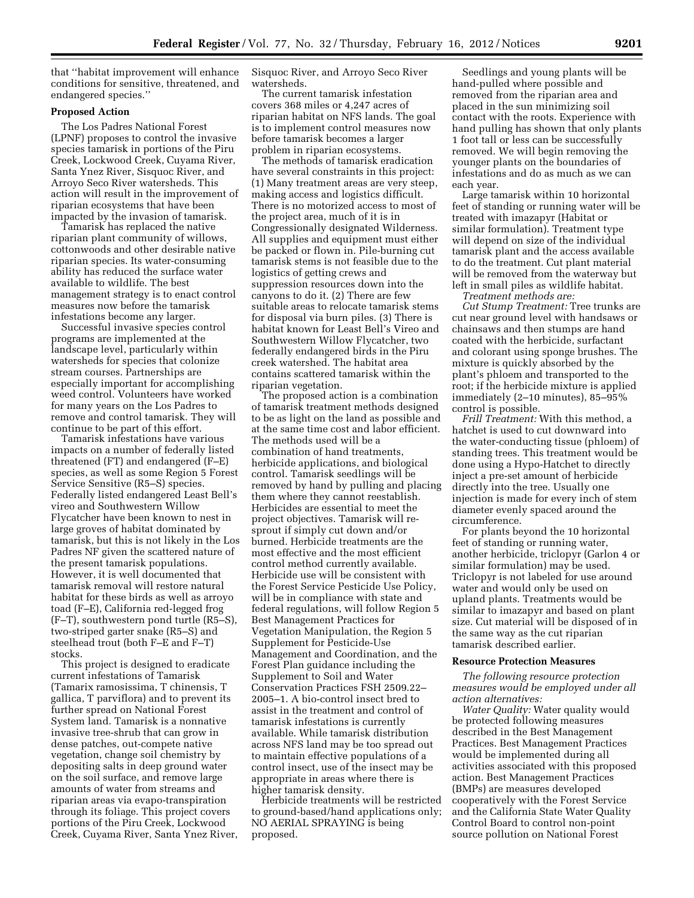that ''habitat improvement will enhance conditions for sensitive, threatened, and endangered species.''

## **Proposed Action**

The Los Padres National Forest (LPNF) proposes to control the invasive species tamarisk in portions of the Piru Creek, Lockwood Creek, Cuyama River, Santa Ynez River, Sisquoc River, and Arroyo Seco River watersheds. This action will result in the improvement of riparian ecosystems that have been impacted by the invasion of tamarisk.

Tamarisk has replaced the native riparian plant community of willows, cottonwoods and other desirable native riparian species. Its water-consuming ability has reduced the surface water available to wildlife. The best management strategy is to enact control measures now before the tamarisk infestations become any larger.

Successful invasive species control programs are implemented at the landscape level, particularly within watersheds for species that colonize stream courses. Partnerships are especially important for accomplishing weed control. Volunteers have worked for many years on the Los Padres to remove and control tamarisk. They will continue to be part of this effort.

Tamarisk infestations have various impacts on a number of federally listed threatened (FT) and endangered (F–E) species, as well as some Region 5 Forest Service Sensitive (R5–S) species. Federally listed endangered Least Bell's vireo and Southwestern Willow Flycatcher have been known to nest in large groves of habitat dominated by tamarisk, but this is not likely in the Los Padres NF given the scattered nature of the present tamarisk populations. However, it is well documented that tamarisk removal will restore natural habitat for these birds as well as arroyo toad (F–E), California red-legged frog (F–T), southwestern pond turtle (R5–S), two-striped garter snake (R5–S) and steelhead trout (both F–E and F–T) stocks.

This project is designed to eradicate current infestations of Tamarisk (Tamarix ramosissima, T chinensis, T gallica, T parviflora) and to prevent its further spread on National Forest System land. Tamarisk is a nonnative invasive tree-shrub that can grow in dense patches, out-compete native vegetation, change soil chemistry by depositing salts in deep ground water on the soil surface, and remove large amounts of water from streams and riparian areas via evapo-transpiration through its foliage. This project covers portions of the Piru Creek, Lockwood Creek, Cuyama River, Santa Ynez River, Sisquoc River, and Arroyo Seco River watersheds.

The current tamarisk infestation covers 368 miles or 4,247 acres of riparian habitat on NFS lands. The goal is to implement control measures now before tamarisk becomes a larger problem in riparian ecosystems.

The methods of tamarisk eradication have several constraints in this project: (1) Many treatment areas are very steep, making access and logistics difficult. There is no motorized access to most of the project area, much of it is in Congressionally designated Wilderness. All supplies and equipment must either be packed or flown in. Pile-burning cut tamarisk stems is not feasible due to the logistics of getting crews and suppression resources down into the canyons to do it. (2) There are few suitable areas to relocate tamarisk stems for disposal via burn piles. (3) There is habitat known for Least Bell's Vireo and Southwestern Willow Flycatcher, two federally endangered birds in the Piru creek watershed. The habitat area contains scattered tamarisk within the riparian vegetation.

The proposed action is a combination of tamarisk treatment methods designed to be as light on the land as possible and at the same time cost and labor efficient. The methods used will be a combination of hand treatments, herbicide applications, and biological control. Tamarisk seedlings will be removed by hand by pulling and placing them where they cannot reestablish. Herbicides are essential to meet the project objectives. Tamarisk will resprout if simply cut down and/or burned. Herbicide treatments are the most effective and the most efficient control method currently available. Herbicide use will be consistent with the Forest Service Pesticide Use Policy, will be in compliance with state and federal regulations, will follow Region 5 Best Management Practices for Vegetation Manipulation, the Region 5 Supplement for Pesticide-Use Management and Coordination, and the Forest Plan guidance including the Supplement to Soil and Water Conservation Practices FSH 2509.22– 2005–1. A bio-control insect bred to assist in the treatment and control of tamarisk infestations is currently available. While tamarisk distribution across NFS land may be too spread out to maintain effective populations of a control insect, use of the insect may be appropriate in areas where there is higher tamarisk density.

Herbicide treatments will be restricted to ground-based/hand applications only; NO AERIAL SPRAYING is being proposed.

Seedlings and young plants will be hand-pulled where possible and removed from the riparian area and placed in the sun minimizing soil contact with the roots. Experience with hand pulling has shown that only plants 1 foot tall or less can be successfully removed. We will begin removing the younger plants on the boundaries of infestations and do as much as we can each year.

Large tamarisk within 10 horizontal feet of standing or running water will be treated with imazapyr (Habitat or similar formulation). Treatment type will depend on size of the individual tamarisk plant and the access available to do the treatment. Cut plant material will be removed from the waterway but left in small piles as wildlife habitat.

*Treatment methods are: Cut Stump Treatment:* Tree trunks are cut near ground level with handsaws or chainsaws and then stumps are hand coated with the herbicide, surfactant and colorant using sponge brushes. The mixture is quickly absorbed by the plant's phloem and transported to the root; if the herbicide mixture is applied immediately (2–10 minutes), 85–95% control is possible.

*Frill Treatment:* With this method, a hatchet is used to cut downward into the water-conducting tissue (phloem) of standing trees. This treatment would be done using a Hypo-Hatchet to directly inject a pre-set amount of herbicide directly into the tree. Usually one injection is made for every inch of stem diameter evenly spaced around the circumference.

For plants beyond the 10 horizontal feet of standing or running water, another herbicide, triclopyr (Garlon 4 or similar formulation) may be used. Triclopyr is not labeled for use around water and would only be used on upland plants. Treatments would be similar to imazapyr and based on plant size. Cut material will be disposed of in the same way as the cut riparian tamarisk described earlier.

## **Resource Protection Measures**

*The following resource protection measures would be employed under all action alternatives:* 

*Water Quality:* Water quality would be protected following measures described in the Best Management Practices. Best Management Practices would be implemented during all activities associated with this proposed action. Best Management Practices (BMPs) are measures developed cooperatively with the Forest Service and the California State Water Quality Control Board to control non-point source pollution on National Forest